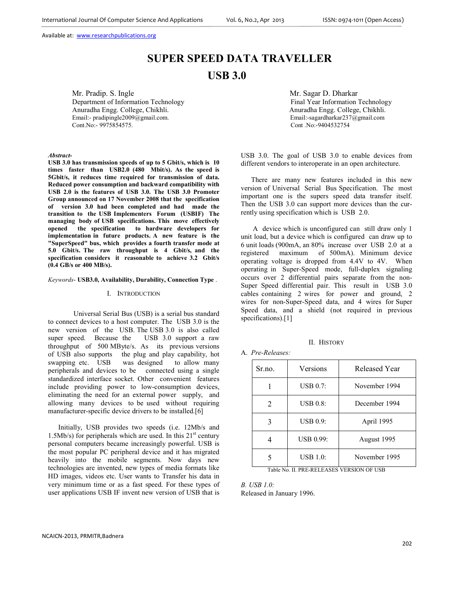# **SUPER SPEED DATA TRAVELLER USB 3.0**

Mr. Pradip. S. Ingle<br>
Department of Information Technology<br>
Department of Information Technology<br>
Department of Information Technology Department of Information Technology Anuradha Engg. College, Chikhli. Anuradha Engg. College, Chikhli. Email:- pradipingle2009@gmail.com.<br>
Cont.No:- 9975854575.<br>
Cont.No:-9975854575. Cont.No:- 9975854575.

*Abstract-*

**USB 3.0 has transmission speeds of up to 5 Gbit/s, which is 10 times faster than USB2.0 (480 Mbit/s). As the speed is 5Gbit/s, it reduces time required for transmission of data. Reduced power consumption and backward compatibility with USB 2.0 is the features of USB 3.0. The USB 3.0 Promoter Group announced on 17 November 2008 that the specification of version 3.0 had been completed and had made the transition to the USB Implementers Forum (USBIF) The managing body of USB specifications. This move effectively opened the specification to hardware developers for implementation in future products. A new feature is the "SuperSpeed" bus, which provides a fourth transfer mode at 5.0 Gbit/s. The raw throughput is 4 Gbit/s, and the specification considers it reasonable to achieve 3.2 Gbit/s (0.4 GB/s or 400 MB/s).** 

*Keywords*- **USB3.0, Availability, Durability, Connection Type** .

#### I. INTRODUCTION

 Universal Serial Bus (USB) is a serial bus standard to connect devices to a host computer. The USB 3.0 is the new version of the USB. The USB 3.0 is also called super speed. Because the USB 3.0 support a raw throughput of 500 MByte/s. As its previous versions of USB also supports the plug and play capability, hot swapping etc. USB was designed to allow many peripherals and devices to be connected using a single standardized interface socket. Other convenient features include providing power to low-consumption devices, eliminating the need for an external power supply, and allowing many devices to be used without requiring manufacturer-specific device drivers to be installed.[6]

Initially, USB provides two speeds (i.e. 12Mb/s and 1.5Mb/s) for peripherals which are used. In this  $21<sup>st</sup>$  century personal computers became increasingly powerful. USB is the most popular PC peripheral device and it has migrated heavily into the mobile segments. Now days new technologies are invented, new types of media formats like HD images, videos etc. User wants to Transfer his data in very minimum time or as a fast speed. For these types of user applications USB IF invent new version of USB that is

USB 3.0. The goal of USB 3.0 to enable devices from different vendors to interoperate in an open architecture.

There are many new features included in this new version of Universal Serial Bus Specification. The most important one is the supers speed data transfer itself. Then the USB 3.0 can support more devices than the currently using specification which is USB 2.0.

 A device which is unconfigured can still draw only 1 unit load, but a device which is configured can draw up to 6 unit loads (900mA, an 80% increase over USB 2.0 at a registered maximum of 500mA). Minimum device operating voltage is dropped from 4.4V to 4V. When operating in Super-Speed mode, full-duplex signaling occurs over 2 differential pairs separate from the non-Super Speed differential pair. This result in USB 3.0 cables containing 2 wires for power and ground, 2 wires for non-Super-Speed data, and 4 wires for Super Speed data, and a shield (not required in previous specifications).[1]

#### II. HISTORY

A. *Pre-Releases:* 

| Sr.no. | Versions         | <b>Released Year</b> |
|--------|------------------|----------------------|
|        | <b>USB 0.7:</b>  | November 1994        |
| 2      | <b>USB 0.8:</b>  | December 1994        |
|        | <b>USB 0.9:</b>  | April 1995           |
|        | <b>USB 0.99:</b> | August 1995          |
|        | <b>USB 1.0:</b>  | November 1995        |

Table No. II. PRE-RELEASES VERSION OF USB

*B. USB 1.0:*  Released in January 1996.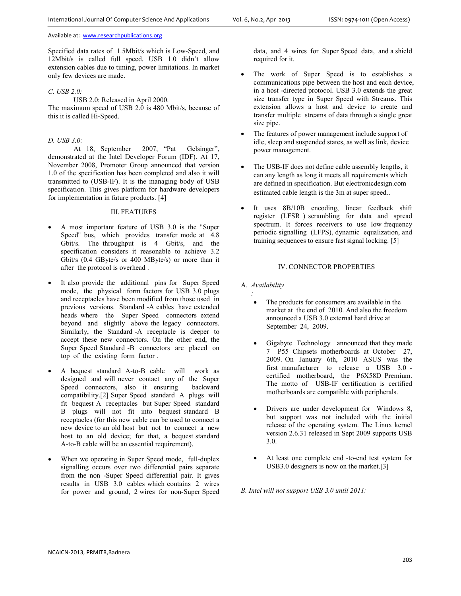Specified data rates of 1.5Mbit/s which is Low-Speed, and 12Mbit/s is called full speed. USB 1.0 didn't allow extension cables due to timing, power limitations. In market only few devices are made.

## *C. USB 2.0:*

USB 2.0: Released in April 2000. The maximum speed of USB 2.0 is 480 Mbit/s, because of this it is called Hi-Speed.

## *D. USB 3.0:*

At 18, September 2007, "Pat Gelsinger", demonstrated at the Intel Developer Forum (IDF). At 17, November 2008, Promoter Group announced that version 1.0 of the specification has been completed and also it will transmitted to (USB-IF). It is the managing body of USB specification. This gives platform for hardware developers for implementation in future products. [4]

#### III. FEATURES

- A most important feature of USB 3.0 is the "Super Speed" bus, which provides transfer mode at 4.8 Gbit/s. The throughput is 4 Gbit/s, and the specification considers it reasonable to achieve 3.2 Gbit/s (0.4 GByte/s or 400 MByte/s) or more than it after the protocol is overhead .
- It also provide the additional pins for Super Speed mode, the physical form factors for USB 3.0 plugs and receptacles have been modified from those used in previous versions. Standard -A cables have extended heads where the Super Speed connectors extend beyond and slightly above the legacy connectors. Similarly, the Standard -A receptacle is deeper to accept these new connectors. On the other end, the Super Speed Standard -B connectors are placed on top of the existing form factor .
- A bequest standard A-to-B cable will work as designed and will never contact any of the Super Speed connectors, also it ensuring backward compatibility.[2] Super Speed standard A plugs will fit bequest A receptacles but Super Speed standard B plugs will not fit into bequest standard B receptacles (for this new cable can be used to connect a new device to an old host but not to connect a new host to an old device; for that, a bequest standard A-to-B cable will be an essential requirement).
- When we operating in Super Speed mode, full-duplex signalling occurs over two differential pairs separate from the non -Super Speed differential pair. It gives results in USB 3.0 cables which contains 2 wires for power and ground, 2 wires for non-Super Speed

data, and 4 wires for Super Speed data, and a shield required for it.

- The work of Super Speed is to establishes a communications pipe between the host and each device, in a host -directed protocol. USB 3.0 extends the great size transfer type in Super Speed with Streams. This extension allows a host and device to create and transfer multiple streams of data through a single great size pipe.
- The features of power management include support of idle, sleep and suspended states, as well as link, device power management.
- The USB-IF does not define cable assembly lengths, it can any length as long it meets all requirements which are defined in specification. But electronicdesign.com estimated cable length is the 3m at super speed..
- It uses 8B/10B encoding, linear feedback shift register (LFSR ) scrambling for data and spread spectrum. It forces receivers to use low frequency periodic signalling (LFPS), dynamic equalization, and training sequences to ensure fast signal locking. [5]

## IV. CONNECTOR PROPERTIES

A. *Availability* 

*:* 

- The products for consumers are available in the market at the end of 2010. And also the freedom announced a USB 3.0 external hard drive at September 24, 2009.
- Gigabyte Technology announced that they made 7 P55 Chipsets motherboards at October 27, 2009. On January 6th, 2010 ASUS was the first manufacturer to release a USB 3.0 certified motherboard, the P6X58D Premium. The motto of USB-IF certification is certified motherboards are compatible with peripherals.
- Drivers are under development for Windows 8, but support was not included with the initial release of the operating system. The Linux kernel version 2.6.31 released in Sept 2009 supports USB 3.0.
- At least one complete end -to-end test system for USB3.0 designers is now on the market.[3]

*B. Intel will not support USB 3.0 until 2011:*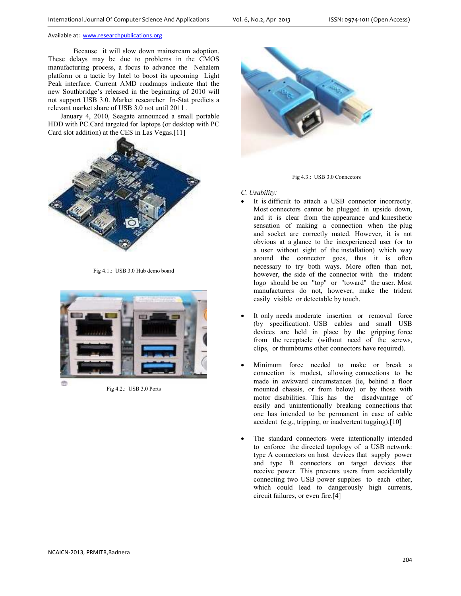Because it will slow down mainstream adoption. These delays may be due to problems in the CMOS manufacturing process, a focus to advance the Nehalem platform or a tactic by Intel to boost its upcoming Light Peak interface. Current AMD roadmaps indicate that the new Southbridge's released in the beginning of 2010 will not support USB 3.0. Market researcher In-Stat predicts a relevant market share of USB 3.0 not until 2011 .

 January 4, 2010, Seagate announced a small portable HDD with PC.Card targeted for laptops (or desktop with PC Card slot addition) at the CES in Las Vegas.[11]



Fig 4.1.: USB 3.0 Hub demo board



Fig 4.2.: USB 3.0 Ports





*C. Usability:* 

- It is difficult to attach a USB connector incorrectly. Most connectors cannot be plugged in upside down, and it is clear from the appearance and kinesthetic sensation of making a connection when the plug and socket are correctly mated. However, it is not obvious at a glance to the inexperienced user (or to a user without sight of the installation) which way around the connector goes, thus it is often necessary to try both ways. More often than not, however, the side of the connector with the trident logo should be on "top" or "toward" the user. Most manufacturers do not, however, make the trident easily visible or detectable by touch.
- It only needs moderate insertion or removal force (by specification). USB cables and small USB devices are held in place by the gripping force from the receptacle (without need of the screws, clips, or thumbturns other connectors have required).
- Minimum force needed to make or break a connection is modest, allowing connections to be made in awkward circumstances (ie, behind a floor mounted chassis, or from below) or by those with motor disabilities. This has the disadvantage of easily and unintentionally breaking connections that one has intended to be permanent in case of cable accident (e.g., tripping, or inadvertent tugging).[10]
- The standard connectors were intentionally intended to enforce the directed topology of a USB network: type A connectors on host devices that supply power and type B connectors on target devices that receive power. This prevents users from accidentally connecting two USB power supplies to each other, which could lead to dangerously high currents, circuit failures, or even fire.[4]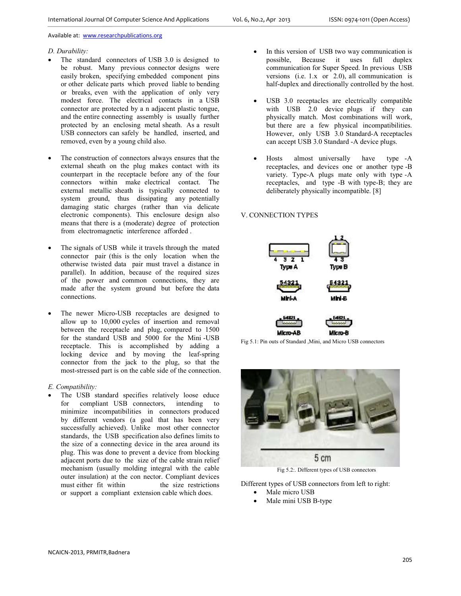## *D. Durability:*

- The standard connectors of USB 3.0 is designed to be robust. Many previous connector designs were easily broken, specifying embedded component pins or other delicate parts which proved liable to bending or breaks, even with the application of only very modest force. The electrical contacts in a USB connector are protected by a n adjacent plastic tongue, and the entire connecting assembly is usually further protected by an enclosing metal sheath. As a result USB connectors can safely be handled, inserted, and removed, even by a young child also.
- The construction of connectors always ensures that the external sheath on the plug makes contact with its counterpart in the receptacle before any of the four connectors within make electrical contact. The external metallic sheath is typically connected to system ground, thus dissipating any potentially damaging static charges (rather than via delicate electronic components). This enclosure design also means that there is a (moderate) degree of protection from electromagnetic interference afforded .
- The signals of USB while it travels through the mated connector pair (this is the only location when the otherwise twisted data pair must travel a distance in parallel). In addition, because of the required sizes of the power and common connections, they are made after the system ground but before the data connections.
- The newer Micro-USB receptacles are designed to allow up to 10,000 cycles of insertion and removal between the receptacle and plug, compared to 1500 for the standard USB and 5000 for the Mini -USB receptacle. This is accomplished by adding a locking device and by moving the leaf-spring connector from the jack to the plug, so that the most-stressed part is on the cable side of the connection.

*E. Compatibility:* 

The USB standard specifies relatively loose educe for compliant USB connectors, intending to minimize incompatibilities in connectors produced by different vendors (a goal that has been very successfully achieved). Unlike most other connector standards, the USB specification also defines limits to the size of a connecting device in the area around its plug. This was done to prevent a device from blocking adjacent ports due to the size of the cable strain relief mechanism (usually molding integral with the cable outer insulation) at the con nector. Compliant devices must either fit within the size restrictions or support a compliant extension cable which does.

- In this version of USB two way communication is possible, Because it uses full duplex communication for Super Speed. In previous USB versions (i.e. 1.x or 2.0), all communication is half-duplex and directionally controlled by the host.
- USB 3.0 receptacles are electrically compatible with USB 2.0 device plugs if they can physically match. Most combinations will work, but there are a few physical incompatibilities. However, only USB 3.0 Standard-A receptacles can accept USB 3.0 Standard -A device plugs.
- Hosts almost universally have type -A receptacles, and devices one or another type -B variety. Type-A plugs mate only with type -A receptacles, and type -B with type-B; they are deliberately physically incompatible. [8]

## V. CONNECTION TYPES



Fig 5.1: Pin outs of Standard ,Mini, and Micro USB connectors



Fig 5.2:. Different types of USB connectors

Different types of USB connectors from left to right:

- Male micro USB
	- Male mini USB B-type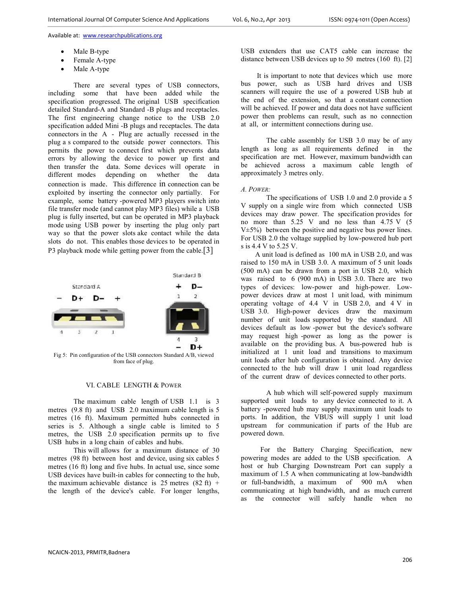- Male B-type
- Female A-type
- Male A-type

There are several types of USB connectors, including some that have been added while the specification progressed. The original USB specification detailed Standard-A and Standard -B plugs and receptacles. The first engineering change notice to the USB 2.0 specification added Mini -B plugs and receptacles. The data connectors in the A - Plug are actually recessed in the plug a s compared to the outside power connectors. This permits the power to connect first which prevents data errors by allowing the device to power up first and then transfer the data. Some devices will operate in different modes depending on whether the data connection is made. This difference in connection can be exploited by inserting the connector only partially. For example, some battery -powered MP3 players switch into file transfer mode (and cannot play MP3 files) while a USB plug is fully inserted, but can be operated in MP3 playback mode using USB power by inserting the plug only part way so that the power slots ake contact while the data slots do not. This enables those devices to be operated in P3 playback mode while getting power from the cable.[3]



from face of plug.

### VI. CABLE LENGTH & POWER

The maximum cable length of USB 1.1 is 3 metres (9.8 ft) and USB 2.0 maximum cable length is 5 metres (16 ft). Maximum permitted hubs connected in series is 5. Although a single cable is limited to 5 metres, the USB 2.0 specification permits up to five USB hubs in a long chain of cables and hubs.

This will allows for a maximum distance of 30 metres (98 ft) between host and device, using six cables 5 metres (16 ft) long and five hubs. In actual use, since some USB devices have built-in cables for connecting to the hub, the maximum achievable distance is 25 metres  $(82 \text{ ft})$  + the length of the device's cable. For longer lengths,

USB extenders that use CAT5 cable can increase the distance between USB devices up to 50 metres (160 ft). [2]

 It is important to note that devices which use more bus power, such as USB hard drives and USB scanners will require the use of a powered USB hub at the end of the extension, so that a constant connection will be achieved. If power and data does not have sufficient power then problems can result, such as no connection at all, or intermittent connections during use.

The cable assembly for USB 3.0 may be of any length as long as all requirements defined in the specification are met. However, maximum bandwidth can be achieved across a maximum cable length of approximately 3 metres only.

## *A. POWER:*

 The specifications of USB 1.0 and 2.0 provide a 5 V supply on a single wire from which connected USB devices may draw power. The specification provides for no more than 5.25 V and no less than 4.75 V (5  $V±5%$ ) between the positive and negative bus power lines. For USB 2.0 the voltage supplied by low-powered hub port s is 4.4 V to 5.25 V.

 A unit load is defined as 100 mA in USB 2.0, and was raised to 150 mA in USB 3.0. A maximum of 5 unit loads (500 mA) can be drawn from a port in USB 2.0, which was raised to 6 (900 mA) in USB 3.0. There are two types of devices: low-power and high-power. Lowpower devices draw at most 1 unit load, with minimum operating voltage of 4.4 V in USB 2.0, and 4 V in USB 3.0. High-power devices draw the maximum number of unit loads supported by the standard. All devices default as low -power but the device's software may request high -power as long as the power is available on the providing bus. A bus-powered hub is initialized at 1 unit load and transitions to maximum unit loads after hub configuration is obtained. Any device connected to the hub will draw 1 unit load regardless of the current draw of devices connected to other ports.

A hub which will self-powered supply maximum supported unit loads to any device connected to it. A battery -powered hub may supply maximum unit loads to ports. In addition, the VBUS will supply 1 unit load upstream for communication if parts of the Hub are powered down.

 For the Battery Charging Specification, new powering modes are added to the USB specification. A host or hub Charging Downstream Port can supply a maximum of 1.5 A when communicating at low-bandwidth<br>or full-bandwidth, a maximum of 900 mA when or full-bandwidth, a maximum of  $900$  mA communicating at high bandwidth, and as much current as the connector will safely handle when no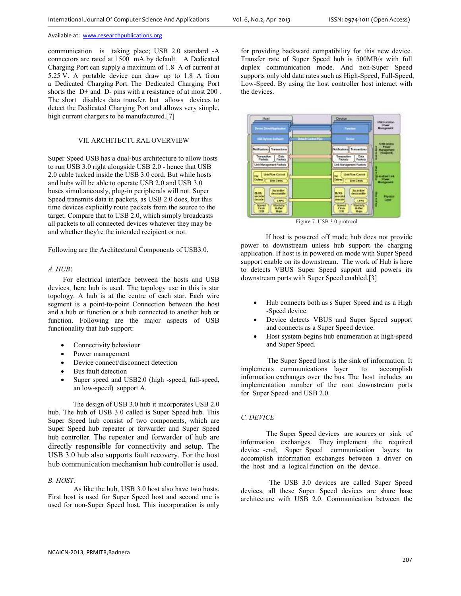communication is taking place; USB 2.0 standard -A connectors are rated at 1500 mA by default. A Dedicated Charging Port can supply a maximum of 1.8 A of current at 5.25 V. A portable device can draw up to 1.8 A from a Dedicated Charging Port. The Dedicated Charging Port shorts the D+ and D- pins with a resistance of at most 200 . The short disables data transfer, but allows devices to detect the Dedicated Charging Port and allows very simple, high current chargers to be manufactured.[7]

## VII. ARCHITECTURAL OVERVIEW

Super Speed USB has a dual-bus architecture to allow hosts to run USB 3.0 right alongside USB 2.0 - hence that USB 2.0 cable tucked inside the USB 3.0 cord. But while hosts and hubs will be able to operate USB 2.0 and USB 3.0 buses simultaneously, plug-in peripherals will not. Super Speed transmits data in packets, as USB 2.0 does, but this time devices explicitly route packets from the source to the target. Compare that to USB 2.0, which simply broadcasts all packets to all connected devices whatever they may be and whether they're the intended recipient or not.

Following are the Architectural Components of USB3.0.

#### *A. HUB*:

 For electrical interface between the hosts and USB devices, here hub is used. The topology use in this is star topology. A hub is at the centre of each star. Each wire segment is a point-to-point Connection between the host and a hub or function or a hub connected to another hub or function. Following are the major aspects of USB functionality that hub support:

- Connectivity behaviour
- Power management
- Device connect/disconnect detection
- Bus fault detection
- Super speed and USB2.0 (high -speed, full-speed, an low-speed) support A.

 The design of USB 3.0 hub it incorporates USB 2.0 hub. The hub of USB 3.0 called is Super Speed hub. This Super Speed hub consist of two components, which are Super Speed hub repeater or forwarder and Super Speed hub controller. The repeater and forwarder of hub are directly responsible for connectivity and setup. The USB 3.0 hub also supports fault recovery. For the host hub communication mechanism hub controller is used.

## *B. HOST:*

 As like the hub, USB 3.0 host also have two hosts. First host is used for Super Speed host and second one is used for non-Super Speed host. This incorporation is only

for providing backward compatibility for this new device. Transfer rate of Super Speed hub is 500MB/s with full duplex communication mode. And non-Super Speed supports only old data rates such as High-Speed, Full-Speed, Low-Speed. By using the host controller host interact with the devices.



Figure 7. USB 3.0 protocol

 If host is powered off mode hub does not provide power to downstream unless hub support the charging application. If host is in powered on mode with Super Speed support enable on its downstream. The work of Hub is here to detects VBUS Super Speed support and powers its downstream ports with Super Speed enabled.[3]

- Hub connects both as s Super Speed and as a High -Speed device.
- Device detects VBUS and Super Speed support and connects as a Super Speed device.
- Host system begins hub enumeration at high-speed and Super Speed.

 The Super Speed host is the sink of information. It implements communications layer to accomplish information exchanges over the bus. The host includes an implementation number of the root downstream ports for Super Speed and USB 2.0.

## *C. DEVICE*

The Super Speed devices are sources or sink of information exchanges. They implement the required device -end, Super Speed communication layers to accomplish information exchanges between a driver on the host and a logical function on the device.

 The USB 3.0 devices are called Super Speed devices, all these Super Speed devices are share base architecture with USB 2.0. Communication between the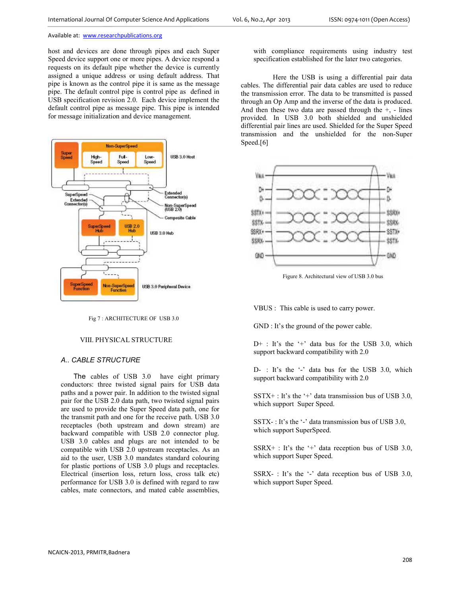host and devices are done through pipes and each Super Speed device support one or more pipes. A device respond a requests on its default pipe whether the device is currently assigned a unique address or using default address. That pipe is known as the control pipe it is same as the message pipe. The default control pipe is control pipe as defined in USB specification revision 2.0. Each device implement the default control pipe as message pipe. This pipe is intended for message initialization and device management.



Fig 7 : ARCHITECTURE OF USB 3.0

#### VIII. PHYSICAL STRUCTURE

## *A.. CABLE STRUCTURE*

The cables of USB 3.0 have eight primary conductors: three twisted signal pairs for USB data paths and a power pair. In addition to the twisted signal pair for the USB 2.0 data path, two twisted signal pairs are used to provide the Super Speed data path, one for the transmit path and one for the receive path. USB 3.0 receptacles (both upstream and down stream) are backward compatible with USB 2.0 connector plug. USB 3.0 cables and plugs are not intended to be compatible with USB 2.0 upstream receptacles. As an aid to the user, USB 3.0 mandates standard colouring for plastic portions of USB 3.0 plugs and receptacles. Electrical (insertion loss, return loss, cross talk etc) performance for USB 3.0 is defined with regard to raw cables, mate connectors, and mated cable assemblies,

with compliance requirements using industry test specification established for the later two categories.

 Here the USB is using a differential pair data cables. The differential pair data cables are used to reduce the transmission error. The data to be transmitted is passed through an Op Amp and the inverse of the data is produced. And then these two data are passed through the  $+$ ,  $-$  lines provided. In USB 3.0 both shielded and unshielded differential pair lines are used. Shielded for the Super Speed transmission and the unshielded for the non-Super Speed.[6]



Figure 8. Architectural view of USB 3.0 bus

VBUS : This cable is used to carry power.

GND : It's the ground of the power cable.

 $D^+$ : It's the '+' data bus for the USB 3.0, which support backward compatibility with 2.0

D- : It's the '-' data bus for the USB 3.0, which support backward compatibility with 2.0

 $SSTX+$ : It's the '+' data transmission bus of USB 3.0, which support Super Speed.

SSTX- : It's the '-' data transmission bus of USB 3.0, which support SuperSpeed.

 $SSRX+$ : It's the '+' data reception bus of USB 3.0, which support Super Speed.

SSRX- : It's the '-' data reception bus of USB 3.0, which support Super Speed.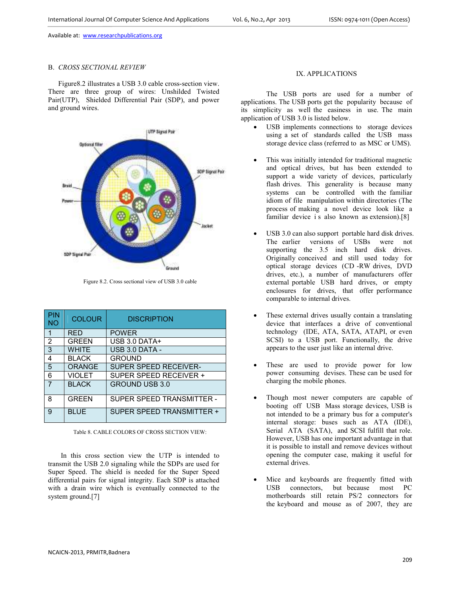## B. *CROSS SECTIONAL REVIEW*

Figure8.2 illustrates a USB 3.0 cable cross-section view. There are three group of wires: Unshilded Twisted Pair(UTP), Shielded Differential Pair (SDP), and power and ground wires.



Figure 8.2. Cross sectional view of USB 3.0 cable

| <b>PIN</b><br><b>NO</b> | <b>COLOUR</b> | <b>DISCRIPTION</b>           |
|-------------------------|---------------|------------------------------|
| 1                       | <b>RFD</b>    | <b>POWER</b>                 |
| $\overline{2}$          | GRFFN         | USB $3.0$ DATA+              |
| 3                       | <b>WHITE</b>  | USB 3.0 DATA -               |
| 4                       | <b>BLACK</b>  | <b>GROUND</b>                |
| 5                       | <b>ORANGE</b> | <b>SUPER SPEED RECEIVER-</b> |
| 6                       | <b>VIOLET</b> | SUPFR SPEED RECEIVER +       |
| $\overline{7}$          | <b>BI ACK</b> | <b>GROUND USB 3.0</b>        |
| 8                       | GRFFN         | SUPER SPEED TRANSMITTER -    |
| 9                       | <b>BI UF</b>  | SUPER SPEED TRANSMITTER +    |

Table 8. CABLE COLORS OF CROSS SECTION VIEW:

In this cross section view the UTP is intended to transmit the USB 2.0 signaling while the SDPs are used for Super Speed. The shield is needed for the Super Speed differential pairs for signal integrity. Each SDP is attached with a drain wire which is eventually connected to the system ground.[7]

# IX. APPLICATIONS

The USB ports are used for a number of applications. The USB ports get the popularity because of its simplicity as well the easiness in use. The main application of USB 3.0 is listed below.

- USB implements connections to storage devices using a set of standards called the USB mass storage device class (referred to as MSC or UMS).
- This was initially intended for traditional magnetic and optical drives, but has been extended to support a wide variety of devices, particularly flash drives. This generality is because many systems can be controlled with the familiar idiom of file manipulation within directories (The process of making a novel device look like a familiar device i s also known as extension).<sup>[8]</sup>
- USB 3.0 can also support portable hard disk drives. The earlier versions of USBs were not supporting the 3.5 inch hard disk drives. Originally conceived and still used today for optical storage devices (CD -RW drives, DVD drives, etc.), a number of manufacturers offer external portable USB hard drives, or empty enclosures for drives, that offer performance comparable to internal drives.
- These external drives usually contain a translating device that interfaces a drive of conventional technology (IDE, ATA, SATA, ATAPI, or even SCSI) to a USB port. Functionally, the drive appears to the user just like an internal drive.
- These are used to provide power for low power consuming devises. These can be used for charging the mobile phones.
- Though most newer computers are capable of booting off USB Mass storage devices, USB is not intended to be a primary bus for a computer's internal storage: buses such as ATA (IDE), Serial ATA (SATA), and SCSI fulfill that role. However, USB has one important advantage in that it is possible to install and remove devices without opening the computer case, making it useful for external drives.
- Mice and keyboards are frequently fitted with USB connectors, but because most PC motherboards still retain PS/2 connectors for the keyboard and mouse as of 2007, they are